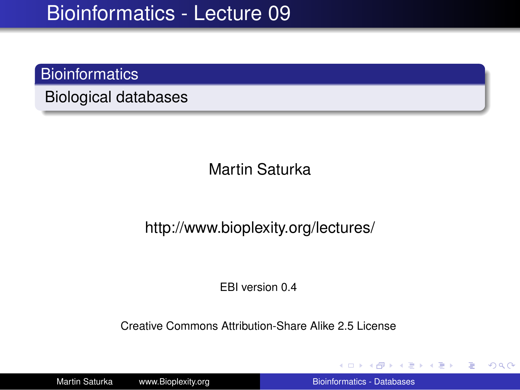### **Bioinformatics**

Biological databases

Martin Saturka

#### http://www.bioplexity.org/lectures/

EBI version 0.4

Creative Commons Attribution-Share Alike 2.5 License

Martin Saturka www.Bioplexity.org **Bionformatics - Databases** [Bioinformatics - Databases](#page-31-0)

**K ロ ▶ K 何 ▶ K ヨ ▶ K ヨ ▶** 

<span id="page-0-0"></span>÷.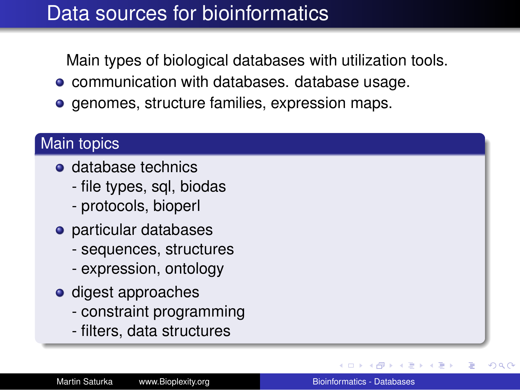## Data sources for bioinformatics

Main types of biological databases with utilization tools.

- **communication with databases. database usage.**
- **e** genomes, structure families, expression maps.

### Main topics

- **o** database technics
	- file types, sql, biodas
	- protocols, bioperl
- particular databases
	- sequences, structures
	- expression, ontology
- **o** digest approaches
	- constraint programming
	- filters, data structures

 $\rightarrow$   $\Rightarrow$   $\rightarrow$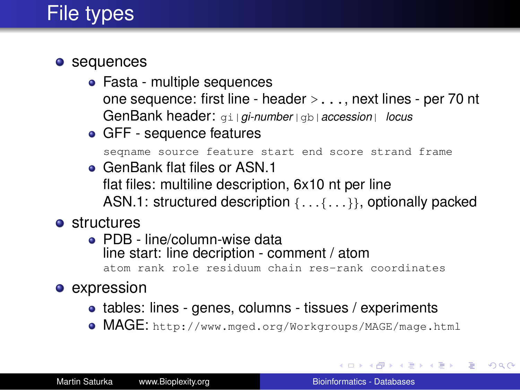# File types

#### • sequences

- Fasta multiple sequences one sequence: first line - header >..., next lines - per 70 nt GenBank header: gi|*gi-number*|gb|*accession*| *locus*
- GFF sequence features

seqname source feature start end score strand frame

- **GenBank flat files or ASN 1** flat files: multiline description, 6x10 nt per line ASN.1: structured description {...{...}}, optionally packed
- **o** structures
	- PDB line/column-wise data line start: line decription - comment / atom atom rank role residuum chain res-rank coordinates
- expression
	- tables: lines genes, columns tissues / experiments
	- MAGE: http://www.mged.org/Workgroups/MAGE/mage.html

イロト イ伊 トイヨ トイヨ トー

 $\Rightarrow$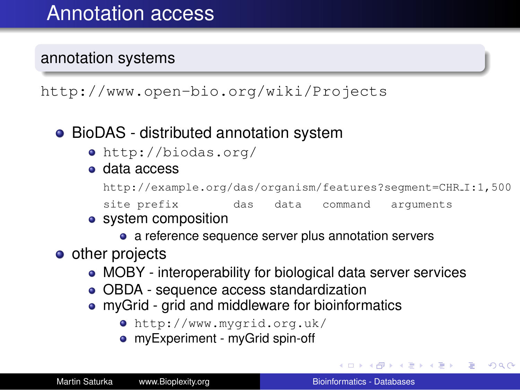#### annotation systems

http://www.open-bio.org/wiki/Projects

### • BioDAS - distributed annotation system

- http://biodas.org/
- data access

http://example.org/das/organism/features?segment=CHR I:1,500

site prefix das data command arguments

#### • system composition

• a reference sequence server plus annotation servers

#### • other projects

- MOBY interoperability for biological data server services
- OBDA sequence access standardization
- myGrid grid and middleware for bioinformatics
	- http://www.mygrid.org.uk/
	- myExperiment myGrid spin-off

イロト イ押 トイヨ トイヨ トー

÷.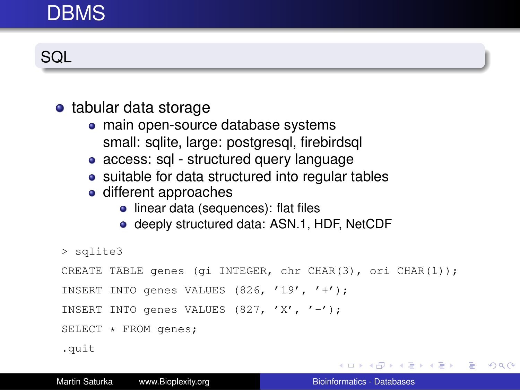## DBMS

**SQL** 

#### • tabular data storage

- main open-source database systems small: sqlite, large: postgresql, firebirdsql
- access: sql structured query language
- suitable for data structured into regular tables
- different approaches
	- linear data (sequences): flat files
	- deeply structured data: ASN.1, HDF, NetCDF

> sqlite3

```
CREATE TABLE genes (gi INTEGER, chr CHAR(3), ori CHAR(1));
```

```
INSERT INTO genes VALUES (826, '19', '+');
```

```
INSERT INTO genes VALUES (827, 'X', '-');
```
SELECT \* FROM genes;

.quit

KOD KAP KED KED E YA G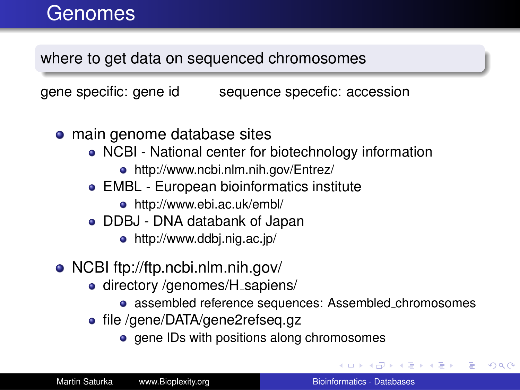where to get data on sequenced chromosomes

gene specific: gene id sequence specefic: accession

- **•** main genome database sites
	- NCBI National center for biotechnology information
		- http://www.ncbi.nlm.nih.gov/Entrez/
	- EMBL European bioinformatics institute
		- http://www.ebi.ac.uk/embl/
	- DDBJ DNA databank of Japan
		- http://www.ddbj.nig.ac.jp/
- NCBI ftp://ftp.ncbi.nlm.nih.gov/
	- directory /genomes/H\_sapiens/
		- assembled reference sequences: Assembled chromosomes
	- file /gene/DATA/gene2refseq.gz
		- gene IDs with positions along chromosomes

イロメ イ伊 メイヨメイヨメー

B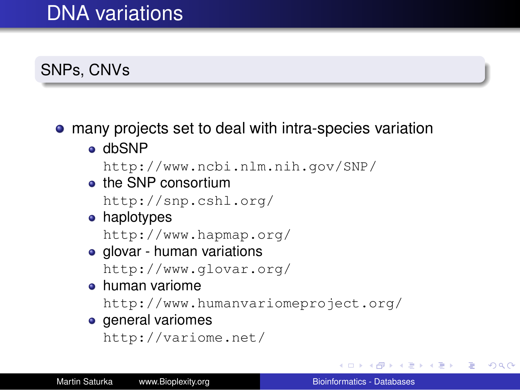## DNA variations

### SNPs, CNVs

### many projects set to deal with intra-species variation

o dbSNP

```
http://www.ncbi.nlm.nih.gov/SNP/
```
**•** the SNP consortium

```
http://snp.cshl.org/
```
• haplotypes

http://www.hapmap.org/

• glovar - human variations

```
http://www.glovar.org/
```
human variome

http://www.humanvariomeproject.org/

**e** general variomes

```
http://variome.net/
```
イロト イ押 トイヨ トイヨト

÷.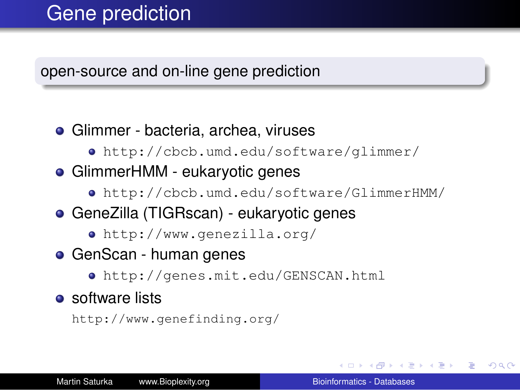## Gene prediction

open-source and on-line gene prediction

- Glimmer bacteria, archea, viruses
	- http://cbcb.umd.edu/software/glimmer/
- GlimmerHMM eukaryotic genes
	- http://cbcb.umd.edu/software/GlimmerHMM/
- GeneZilla (TIGRscan) eukaryotic genes
	- http://www.genezilla.org/
- GenScan human genes
	- http://genes.mit.edu/GENSCAN.html
- $\bullet$  software lists

http://www.genefinding.org/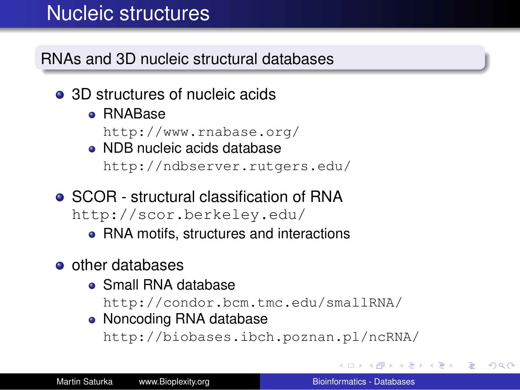## Nucleic structures

RNAs and 3D nucleic structural databases

- 3D structures of nucleic acids
	- RNABase

http://www.rnabase.org/

- NDB nucleic acids database http://ndbserver.rutgers.edu/
- SCOR structural classification of RNA http://scor.berkeley.edu/
	- RNA motifs, structures and interactions
- **o** other databases
	- Small RNA database

http://condor.bcm.tmc.edu/smallRNA/

• Noncoding RNA database

http://biobases.ibch.poznan.pl/ncRNA/

 $\langle \oplus \rangle$  >  $\langle \oplus \rangle$  >  $\langle \oplus \rangle$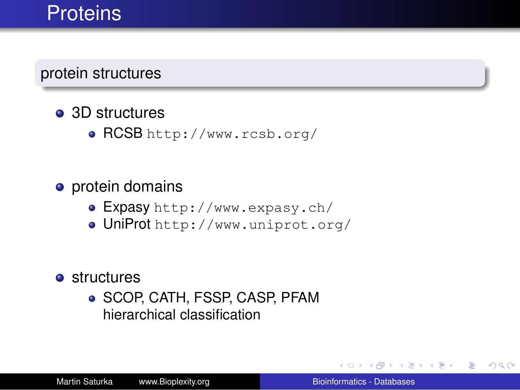## **Proteins**

protein structures

- 3D structures
	- RCSB http://www.rcsb.org/

#### **o** protein domains

- Expasy http://www.expasy.ch/
- UniProt http://www.uniprot.org/
- **o** structures
	- SCOP, CATH, FSSP, CASP, PFAM hierarchical classification

メミメメ ヨメー

B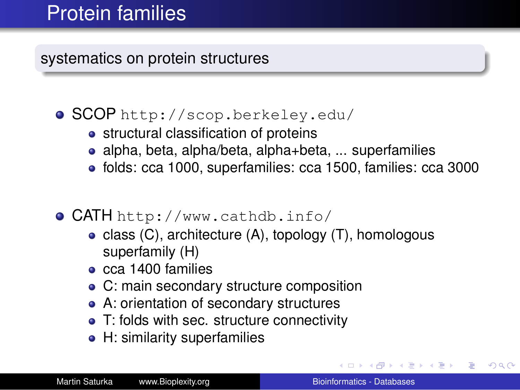## Protein families

systematics on protein structures

### SCOP http://scop.berkeley.edu/

- structural classification of proteins
- alpha, beta, alpha/beta, alpha+beta, ... superfamilies
- folds: cca 1000, superfamilies: cca 1500, families: cca 3000

### CATH http://www.cathdb.info/

- class  $(C)$ , architecture  $(A)$ , topology  $(T)$ , homologous superfamily (H)
- $\bullet$  cca 1400 families
- C: main secondary structure composition
- A: orientation of secondary structures
- T: folds with sec. structure connectivity
- H: similarity superfamilies

イロメ イ押 メイヨメ イヨメ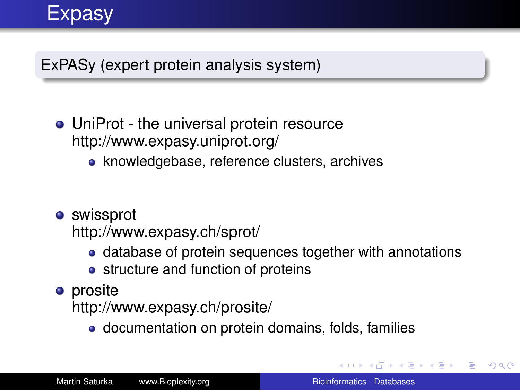

ExPASy (expert protein analysis system)

- UniProt the universal protein resource http://www.expasy.uniprot.org/
	- knowledgebase, reference clusters, archives
- **o** swissprot

http://www.expasy.ch/sprot/

- database of protein sequences together with annotations
- structure and function of proteins
- **o** prosite

http://www.expasy.ch/prosite/

• documentation on protein domains, folds, families

K 何 ▶ K ヨ ▶ K ヨ ▶ ..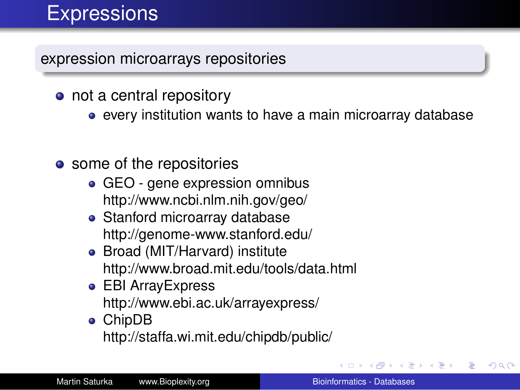# **Expressions**

expression microarrays repositories

- not a central repository
	- every institution wants to have a main microarray database
- some of the repositories
	- GEO gene expression omnibus http://www.ncbi.nlm.nih.gov/geo/
	- Stanford microarray database http://genome-www.stanford.edu/
	- Broad (MIT/Harvard) institute http://www.broad.mit.edu/tools/data.html
	- EBI ArrayExpress http://www.ebi.ac.uk/arrayexpress/
	- ChipDB http://staffa.wi.mit.edu/chipdb/public/

す画→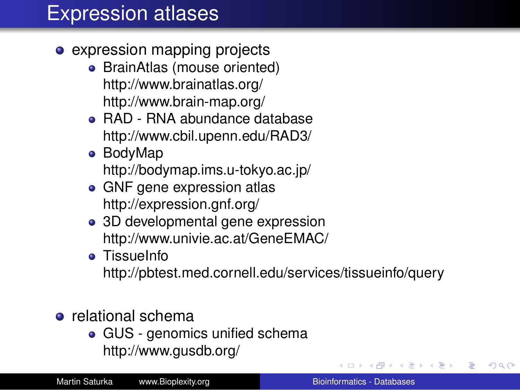## Expression atlases

- **expression mapping projects** 
	- BrainAtlas (mouse oriented) http://www.brainatlas.org/ http://www.brain-map.org/
	- RAD RNA abundance database http://www.cbil.upenn.edu/RAD3/
	- BodyMap http://bodymap.ims.u-tokyo.ac.jp/
	- GNF gene expression atlas http://expression.gnf.org/
	- 3D developmental gene expression http://www.univie.ac.at/GeneEMAC/
	- **•** TissueInfo

http://pbtest.med.cornell.edu/services/tissueinfo/query

### **e** relational schema

• GUS - genomics unified schema http://www.gusdb.org/

イロト イ団ト イヨト イヨト

<span id="page-13-0"></span>B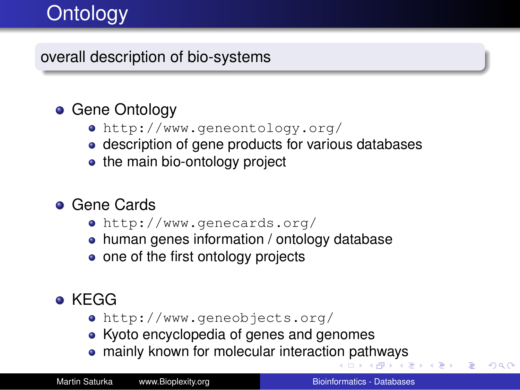# **Ontology**

### overall description of bio-systems

### **• Gene Ontology**

- http://www.geneontology.org/
- description of gene products for various databases
- the main bio-ontology project

### **• Gene Cards**

- http://www.genecards.org/
- human genes information / ontology database
- one of the first ontology projects

### **• KEGG**

- http://www.geneobjects.org/
- Kyoto encyclopedia of genes and genomes
- <span id="page-14-0"></span>mainly known for molecular interacti[on](#page-13-0) [pa](#page-15-0)[th](#page-13-0)[w](#page-14-0)[a](#page-15-0)[ys](#page-0-0)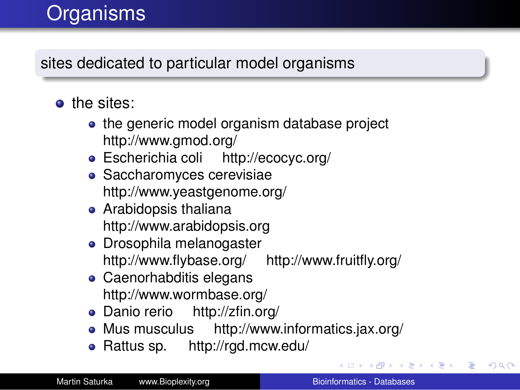# **Organisms**

sites dedicated to particular model organisms

- o the sites:
	- the generic model organism database project http://www.gmod.org/
	- Escherichia coli http://ecocyc.org/
	- Saccharomyces cerevisiae http://www.yeastgenome.org/
	- Arabidopsis thaliana http://www.arabidopsis.org
	- Drosophila melanogaster http://www.flybase.org/ http://www.fruitfly.org/
	- Caenorhabditis elegans http://www.wormbase.org/
	- Danio rerio http://zfin.org/
	- Mus musculus http://www.informatics.jax.org/
	- Rattus sp. http://rgd.mcw.edu/

あんする トー

<span id="page-15-0"></span>B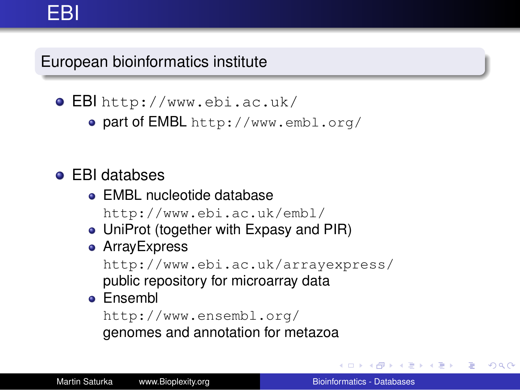European bioinformatics institute

EBI http://www.ebi.ac.uk/

• part of EMBL http://www.embl.org/

### EBI databses

- **EMBL nucleotide database** http://www.ebi.ac.uk/embl/
- UniProt (together with Expasy and PIR)
- **•** ArrayExpress

http://www.ebi.ac.uk/arrayexpress/ public repository for microarray data

### **e** Ensembl

http://www.ensembl.org/ genomes and annotation for metazoa

メラメメラト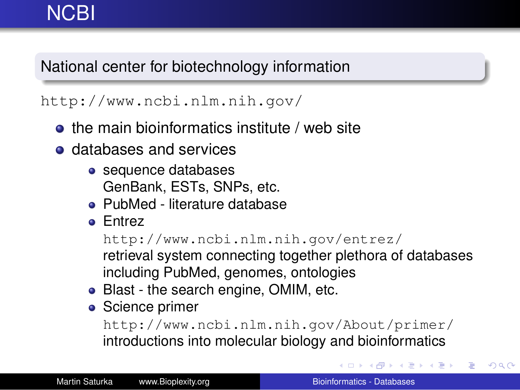## **NCBI**

### National center for biotechnology information

#### http://www.ncbi.nlm.nih.gov/

- **•** the main bioinformatics institute / web site
- **o** databases and services
	- sequence databases GenBank, ESTs, SNPs, etc.
	- PubMed literature database
	- **•** Entrez

```
http://www.ncbi.nlm.nih.gov/entrez/
```
retrieval system connecting together plethora of databases including PubMed, genomes, ontologies

- Blast the search engine, OMIM, etc.
- Science primer

http://www.ncbi.nlm.nih.gov/About/primer/ introductions into molecular biology and bioinformatics

イロト イ団ト イヨト イヨト

B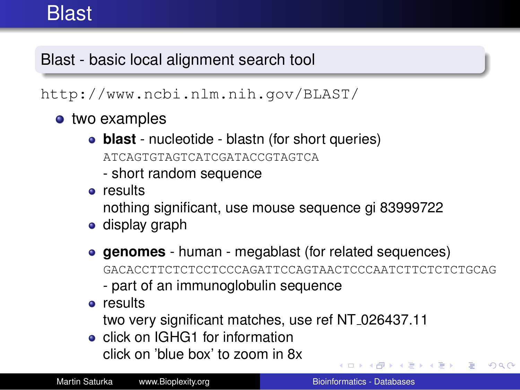## **Blast**

### Blast - basic local alignment search tool

#### http://www.ncbi.nlm.nih.gov/BLAST/

- two examples
	- **blast** nucleotide blastn (for short queries) ATCAGTGTAGTCATCGATACCGTAGTCA
		- short random sequence
	- **o** results

nothing significant, use mouse sequence gi 83999722

- **•** display graph
- **genomes** human megablast (for related sequences) GACACCTTCTCTCCTCCCAGATTCCAGTAACTCCCAATCTTCTCTCTGCAG
	- part of an immunoglobulin sequence
- **•** results

two very significant matches, use ref NT 026437.11

• click on IGHG1 for information click on 'blue box' to zoom in 8x

イ押 トメミ メスミメーミー

 $2990$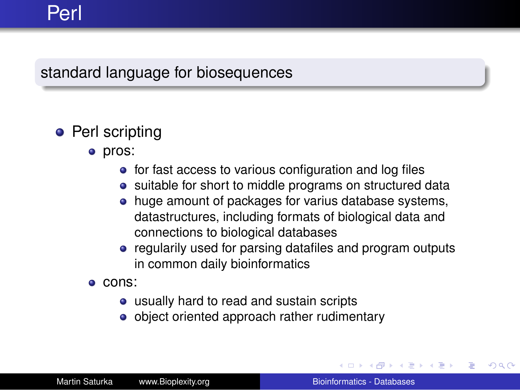## Perl

#### standard language for biosequences

### • Perl scripting

- o pros:
	- for fast access to various configuration and log files
	- suitable for short to middle programs on structured data
	- huge amount of packages for varius database systems, datastructures, including formats of biological data and connections to biological databases
	- regularily used for parsing datafiles and program outputs in common daily bioinformatics
- cons:
	- usually hard to read and sustain scripts
	- object oriented approach rather rudimentary

 $\rightarrow$  3  $\pm$  3  $\rightarrow$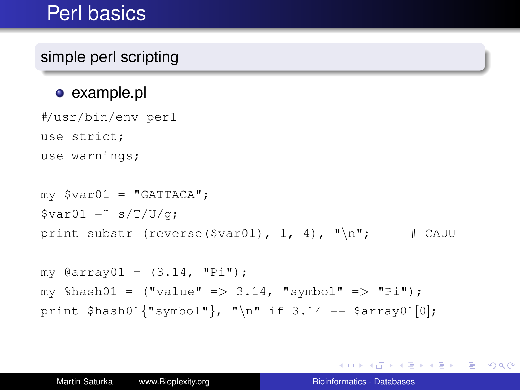## Perl basics

### simple perl scripting

#### • example.pl

#/usr/bin/env perl use strict; use warnings;

```
my $var01 = "GATTACA";$var01 =^* s/T/U/q;print substr (reverse($var01), 1, 4), "\n"; # CAUU
```

```
my \texttt{darray} = (3.14, "Pi");my \text{hash01} = (\text{value} \text{ =} > 3.14, \text{ "symbol" =} > \text{ 'Pi"});
print $hash01{'''symb01''}, "n" if 3.14 == $array01[0];
```
KOD KAP KED KED E YA G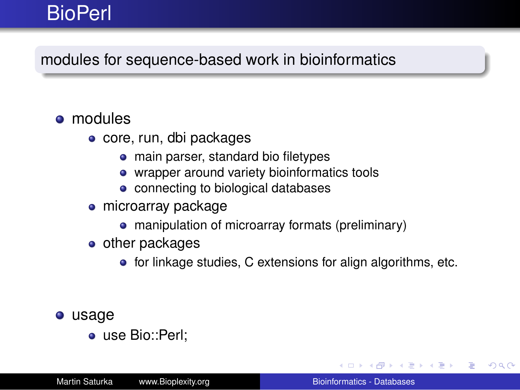## **BioPerl**

### modules for sequence-based work in bioinformatics

#### **o** modules

- core, run, dbi packages
	- main parser, standard bio filetypes
	- wrapper around variety bioinformatics tools
	- connecting to biological databases
- microarray package
	- manipulation of microarray formats (preliminary)
- $\bullet$  other packages
	- **•** for linkage studies, C extensions for align algorithms, etc.
- usage
	- use Bio::Perl;

イロト イ押 トイヨ トイヨ トー

÷.  $QQ$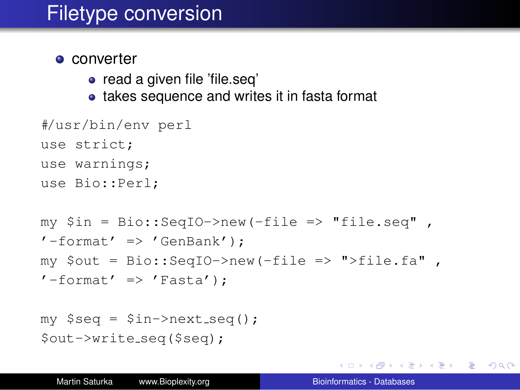## Filetype conversion

#### • converter

- read a given file 'file.seq'
- takes sequence and writes it in fasta format

```
#/usr/bin/env perl
use strict;
use warnings;
use Bio::Perl;
```

```
my $in = Bio::SeqIO->new(-file => "file.seq" ,
'-format' => 'GenBank');
my $out = Bio::SeqIO->new(-file => ">file.fa" ,
'-format' => 'Fasta');
```

```
my $seq = $in->next\_seq();
$out->write seq($seq);
```
KOD KAP KED KED E YA G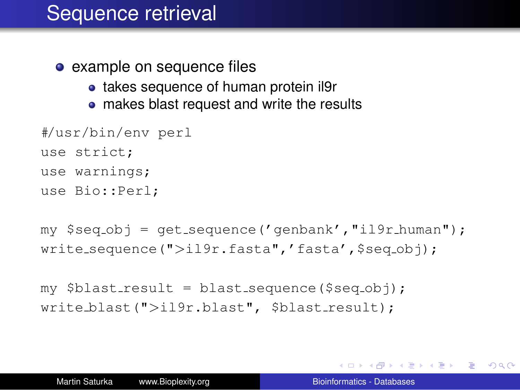## Sequence retrieval

- example on sequence files
	- takes sequence of human protein il9r
	- makes blast request and write the results

```
#/usr/bin/env perl
use strict;
use warnings;
```

```
use Bio::Perl;
```

```
my $seq-obj = qet-sequence('qenbank', "il9r_human");write_sequence(">il9r.fasta",'fasta',$seq_obj);
```

```
my $blast-result = blast-sequence(Sseq-obi);write_blast(">il9r.blast", $blast_result);
```
K 何 ▶ K ヨ ▶ K ヨ ▶ ...

ほい  $2Q$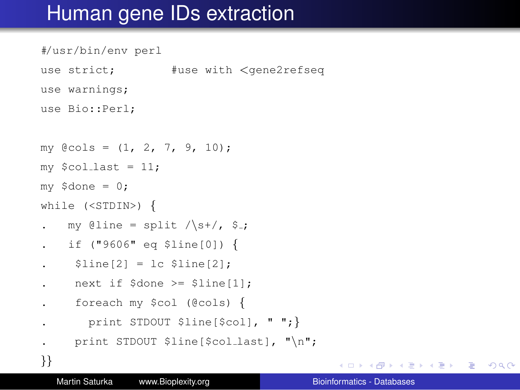## Human gene IDs extraction

```
#/usr/bin/env perl
use strict: #use with <gene2refseq
use warnings;
use Bio::Perl;
my @cols = (1, 2, 7, 9, 10);
my $colllast = 11;my $done = 0;
while (<STDIN>) {
  my @line = split \sqrt{s+1}, $.
. if ("9606" eq $line[0]) {
    $line[2] = lc $line[2];. next if $done >= $line[1];
     . foreach my $col (@cols) {
      print STDOUT $line[$col], " ";}
. print STDOUT $line[$col_last], "\n";
}}
```
KAD > KE > KE > E + 990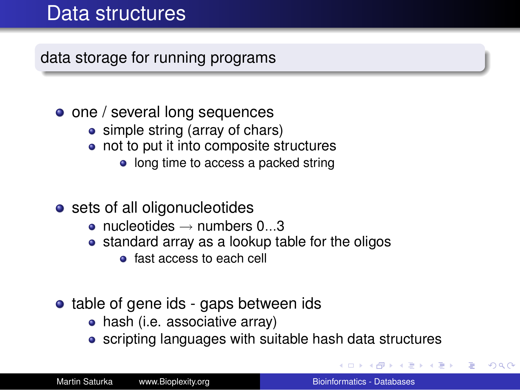## Data structures

data storage for running programs

- one / several long sequences
	- simple string (array of chars)
	- not to put it into composite structures
		- long time to access a packed string
- sets of all oligonucleotides
	- nucleotides  $\rightarrow$  numbers 0...3
	- standard array as a lookup table for the oligos
		- **•** fast access to each cell
- table of gene ids gaps between ids
	- hash (i.e. associative array)
	- scripting languages with suitable hash data structures

4 重っ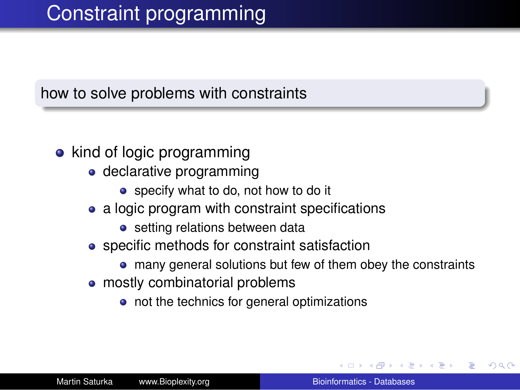#### how to solve problems with constraints

### • kind of logic programming

- declarative programming
	- specify what to do, not how to do it
- a logic program with constraint specifications
	- setting relations between data
- specific methods for constraint satisfaction
	- many general solutions but few of them obey the constraints
- mostly combinatorial problems
	- not the technics for general optimizations

 $\Omega$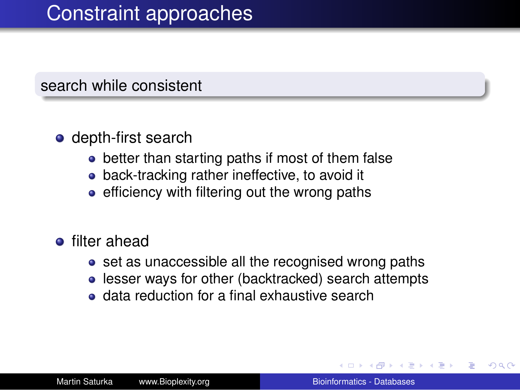#### search while consistent

#### **o** depth-first search

- better than starting paths if most of them false
- back-tracking rather ineffective, to avoid it
- $\bullet$  efficiency with filtering out the wrong paths
- **•** filter ahead
	- set as unaccessible all the recognised wrong paths
	- **.** lesser ways for other (backtracked) search attempts
	- data reduction for a final exhaustive search

 $290$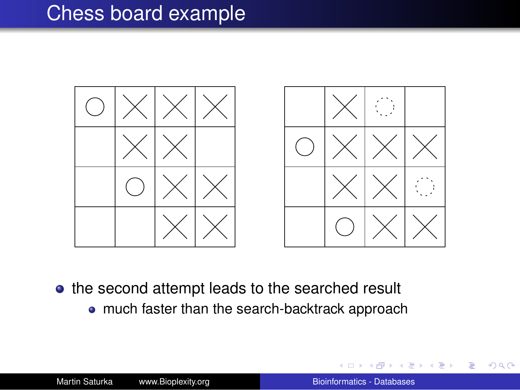## Chess board example





- the second attempt leads to the searched result
	- much faster than the search-backtrack approach

÷.

ヨメ メヨメー

 $2990$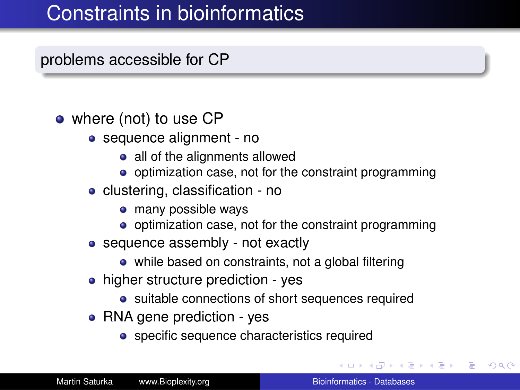## Constraints in bioinformatics

### problems accessible for CP

#### • where (not) to use CP

- sequence alignment no
	- all of the alignments allowed
	- o optimization case, not for the constraint programming
- clustering, classification no
	- many possible ways
	- o optimization case, not for the constraint programming
- sequence assembly not exactly
	- while based on constraints, not a global filtering
- higher structure prediction yes
	- suitable connections of short sequences required
- RNA gene prediction yes
	- specific sequence characteristics required

イロト イ押 トイヨ トイヨ トー

B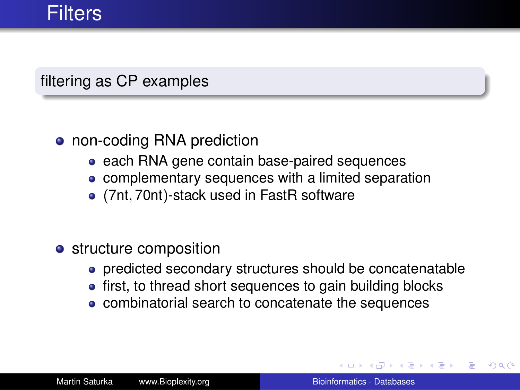#### filtering as CP examples

#### • non-coding RNA prediction

- each RNA gene contain base-paired sequences
- complementary sequences with a limited separation
- (7nt, 70nt)-stack used in FastR software
- **•** structure composition
	- predicted secondary structures should be concatenatable
	- first, to thread short sequences to gain building blocks
	- combinatorial search to concatenate the sequences